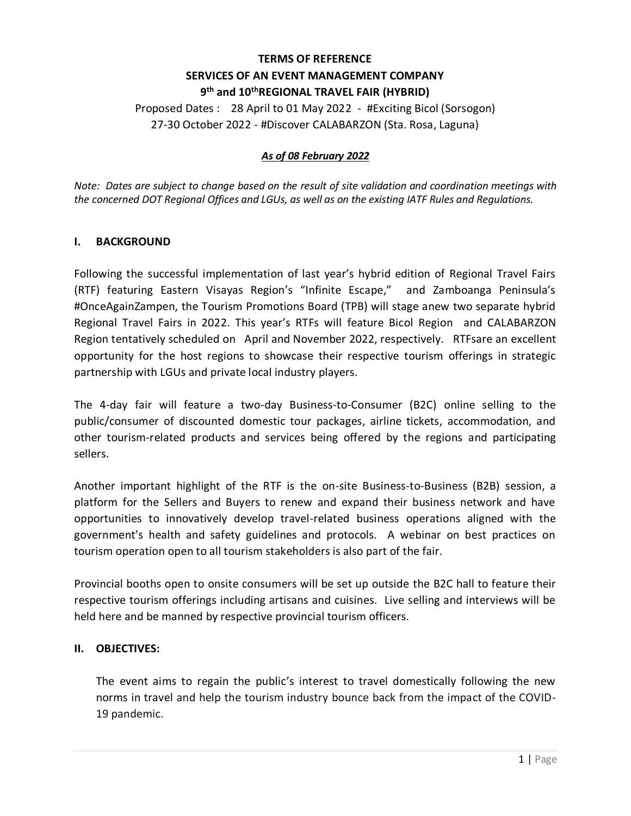## **TERMS OF REFERENCE SERVICES OF AN EVENT MANAGEMENT COMPANY 9 th and 10thREGIONAL TRAVEL FAIR (HYBRID)**

Proposed Dates : 28 April to 01 May 2022 - #Exciting Bicol (Sorsogon) 27-30 October 2022 - #Discover CALABARZON (Sta. Rosa, Laguna)

### *As of 08 February 2022*

*Note: Dates are subject to change based on the result of site validation and coordination meetings with the concerned DOT Regional Offices and LGUs, as well as on the existing IATF Rules and Regulations.*

#### **I. BACKGROUND**

Following the successful implementation of last year's hybrid edition of Regional Travel Fairs (RTF) featuring Eastern Visayas Region's "Infinite Escape," and Zamboanga Peninsula's #OnceAgainZampen, the Tourism Promotions Board (TPB) will stage anew two separate hybrid Regional Travel Fairs in 2022. This year's RTFs will feature Bicol Region and CALABARZON Region tentatively scheduled on April and November 2022, respectively. RTFsare an excellent opportunity for the host regions to showcase their respective tourism offerings in strategic partnership with LGUs and private local industry players.

The 4-day fair will feature a two-day Business-to-Consumer (B2C) online selling to the public/consumer of discounted domestic tour packages, airline tickets, accommodation, and other tourism-related products and services being offered by the regions and participating sellers.

Another important highlight of the RTF is the on-site Business-to-Business (B2B) session, a platform for the Sellers and Buyers to renew and expand their business network and have opportunities to innovatively develop travel-related business operations aligned with the government's health and safety guidelines and protocols. A webinar on best practices on tourism operation open to all tourism stakeholders is also part of the fair.

Provincial booths open to onsite consumers will be set up outside the B2C hall to feature their respective tourism offerings including artisans and cuisines. Live selling and interviews will be held here and be manned by respective provincial tourism officers.

#### **II. OBJECTIVES:**

The event aims to regain the public's interest to travel domestically following the new norms in travel and help the tourism industry bounce back from the impact of the COVID-19 pandemic.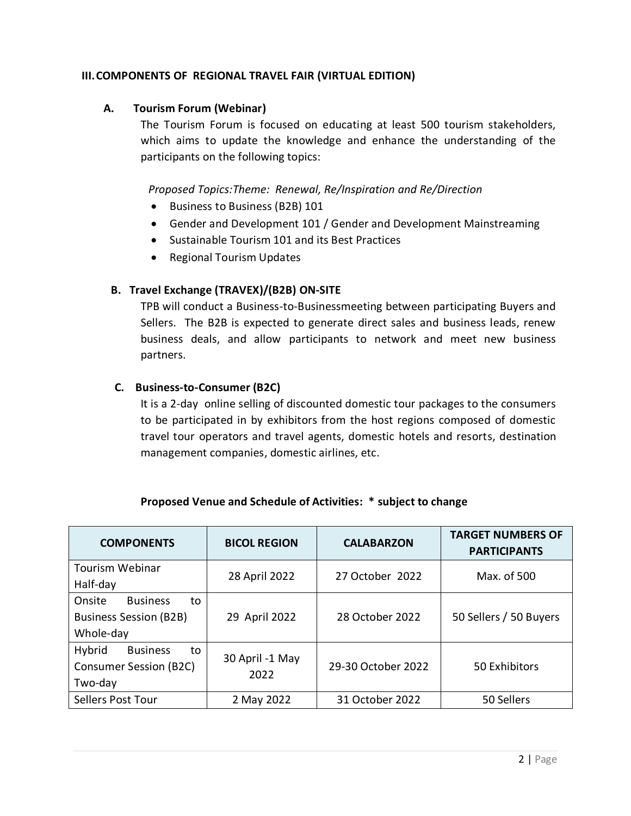### **III.COMPONENTS OF REGIONAL TRAVEL FAIR (VIRTUAL EDITION)**

### **A. Tourism Forum (Webinar)**

The Tourism Forum is focused on educating at least 500 tourism stakeholders, which aims to update the knowledge and enhance the understanding of the participants on the following topics:

*Proposed Topics:Theme: Renewal, Re/Inspiration and Re/Direction*

- Business to Business (B2B) 101
- Gender and Development 101 / Gender and Development Mainstreaming
- Sustainable Tourism 101 and its Best Practices
- Regional Tourism Updates

## **B. Travel Exchange (TRAVEX)/(B2B) ON-SITE**

TPB will conduct a Business-to-Businessmeeting between participating Buyers and Sellers. The B2B is expected to generate direct sales and business leads, renew business deals, and allow participants to network and meet new business partners.

## **C. Business-to-Consumer (B2C)**

It is a 2-day online selling of discounted domestic tour packages to the consumers to be participated in by exhibitors from the host regions composed of domestic travel tour operators and travel agents, domestic hotels and resorts, destination management companies, domestic airlines, etc.

| <b>COMPONENTS</b>                                                             | <b>BICOL REGION</b>     | <b>CALABARZON</b>  | <b>TARGET NUMBERS OF</b><br><b>PARTICIPANTS</b> |
|-------------------------------------------------------------------------------|-------------------------|--------------------|-------------------------------------------------|
| <b>Tourism Webinar</b><br>Half-day                                            | 28 April 2022           | 27 October 2022    | Max. of 500                                     |
| Onsite<br><b>Business</b><br>to<br><b>Business Session (B2B)</b><br>Whole-day | 29 April 2022           | 28 October 2022    | 50 Sellers / 50 Buyers                          |
| Hybrid<br><b>Business</b><br>to<br><b>Consumer Session (B2C)</b><br>Two-day   | 30 April -1 May<br>2022 | 29-30 October 2022 | 50 Exhibitors                                   |
| Sellers Post Tour                                                             | 2 May 2022              | 31 October 2022    | 50 Sellers                                      |

## **Proposed Venue and Schedule of Activities: \* subject to change**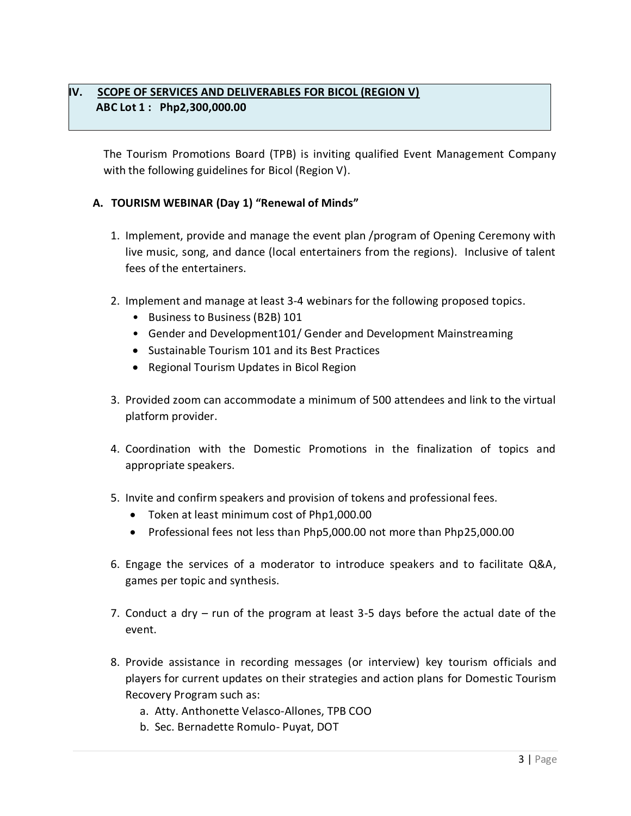## **IV. SCOPE OF SERVICES AND DELIVERABLES FOR BICOL (REGION V) ABC Lot 1 : Php2,300,000.00**

The Tourism Promotions Board (TPB) is inviting qualified Event Management Company with the following guidelines for Bicol (Region V).

## **A. TOURISM WEBINAR (Day 1) "Renewal of Minds"**

- 1. Implement, provide and manage the event plan /program of Opening Ceremony with live music, song, and dance (local entertainers from the regions). Inclusive of talent fees of the entertainers.
- 2. Implement and manage at least 3-4 webinars for the following proposed topics.
	- Business to Business (B2B) 101
	- Gender and Development101/ Gender and Development Mainstreaming
	- Sustainable Tourism 101 and its Best Practices
	- Regional Tourism Updates in Bicol Region
- 3. Provided zoom can accommodate a minimum of 500 attendees and link to the virtual platform provider.
- 4. Coordination with the Domestic Promotions in the finalization of topics and appropriate speakers.
- 5. Invite and confirm speakers and provision of tokens and professional fees.
	- Token at least minimum cost of Php1,000.00
	- Professional fees not less than Php5,000.00 not more than Php25,000.00
- 6. Engage the services of a moderator to introduce speakers and to facilitate Q&A, games per topic and synthesis.
- 7. Conduct a dry run of the program at least 3-5 days before the actual date of the event.
- 8. Provide assistance in recording messages (or interview) key tourism officials and players for current updates on their strategies and action plans for Domestic Tourism Recovery Program such as:
	- a. Atty. Anthonette Velasco-Allones, TPB COO
	- b. Sec. Bernadette Romulo- Puyat, DOT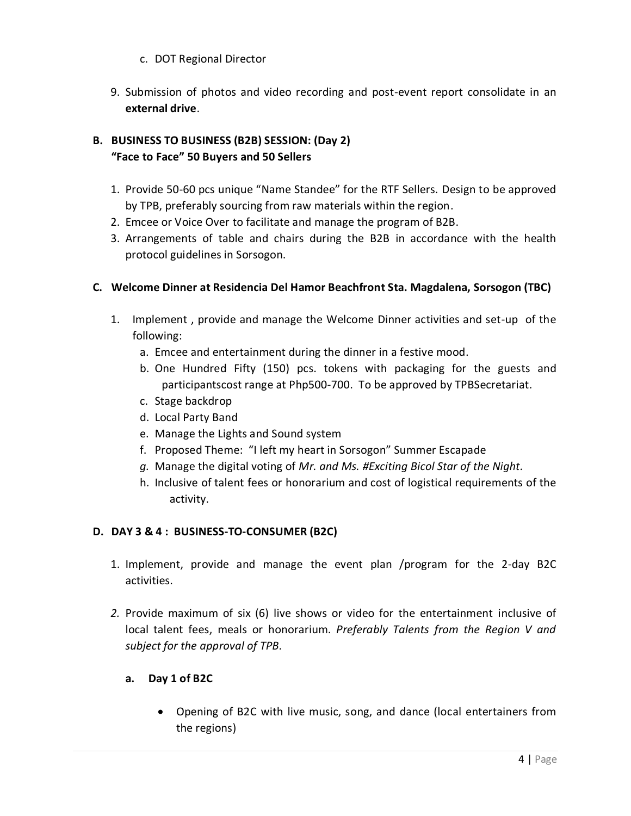- c. DOT Regional Director
- 9. Submission of photos and video recording and post-event report consolidate in an **external drive**.

# **B. BUSINESS TO BUSINESS (B2B) SESSION: (Day 2) "Face to Face" 50 Buyers and 50 Sellers**

- 1. Provide 50-60 pcs unique "Name Standee" for the RTF Sellers. Design to be approved by TPB, preferably sourcing from raw materials within the region.
- 2. Emcee or Voice Over to facilitate and manage the program of B2B.
- 3. Arrangements of table and chairs during the B2B in accordance with the health protocol guidelines in Sorsogon.

## **C. Welcome Dinner at Residencia Del Hamor Beachfront Sta. Magdalena, Sorsogon (TBC)**

- 1. Implement , provide and manage the Welcome Dinner activities and set-up of the following:
	- a. Emcee and entertainment during the dinner in a festive mood.
	- b. One Hundred Fifty (150) pcs. tokens with packaging for the guests and participantscost range at Php500-700. To be approved by TPBSecretariat.
	- c. Stage backdrop
	- d. Local Party Band
	- e. Manage the Lights and Sound system
	- f. Proposed Theme: "I left my heart in Sorsogon" Summer Escapade
	- *g.* Manage the digital voting of *Mr. and Ms. #Exciting Bicol Star of the Night.*
	- h. Inclusive of talent fees or honorarium and cost of logistical requirements of the activity.

## **D. DAY 3 & 4 : BUSINESS-TO-CONSUMER (B2C)**

- 1. Implement, provide and manage the event plan /program for the 2-day B2C activities.
- *2.* Provide maximum of six (6) live shows or video for the entertainment inclusive of local talent fees, meals or honorarium. *Preferably Talents from the Region V and subject for the approval of TPB.*

## **a. Day 1 of B2C**

 Opening of B2C with live music, song, and dance (local entertainers from the regions)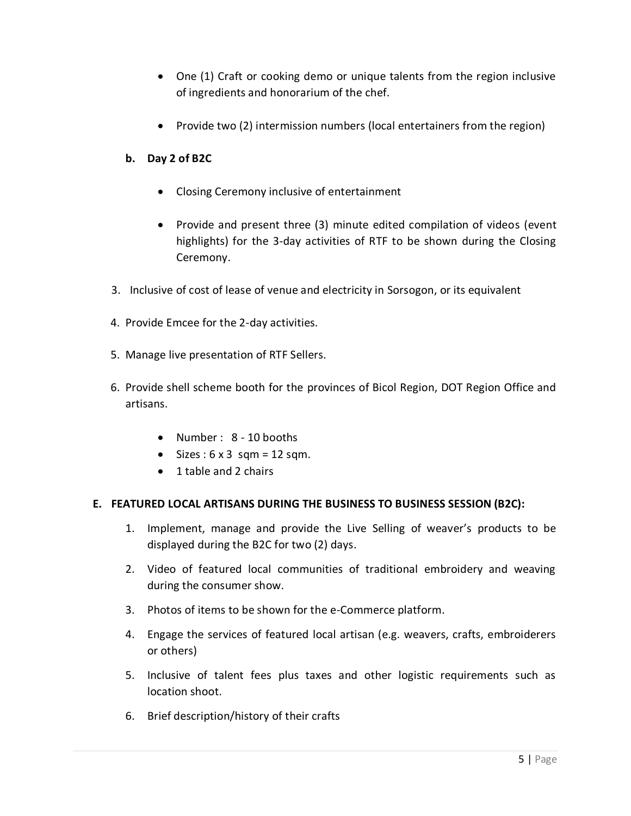- One (1) Craft or cooking demo or unique talents from the region inclusive of ingredients and honorarium of the chef.
- Provide two (2) intermission numbers (local entertainers from the region)

### **b. Day 2 of B2C**

- Closing Ceremony inclusive of entertainment
- Provide and present three (3) minute edited compilation of videos (event highlights) for the 3-day activities of RTF to be shown during the Closing Ceremony.
- 3. Inclusive of cost of lease of venue and electricity in Sorsogon, or its equivalent
- 4. Provide Emcee for the 2-day activities.
- 5. Manage live presentation of RTF Sellers.
- 6. Provide shell scheme booth for the provinces of Bicol Region, DOT Region Office and artisans.
	- Number : 8 10 booths
	- $\bullet$  Sizes: 6 x 3 sqm = 12 sqm.
	- 1 table and 2 chairs

#### **E. FEATURED LOCAL ARTISANS DURING THE BUSINESS TO BUSINESS SESSION (B2C):**

- 1. Implement, manage and provide the Live Selling of weaver's products to be displayed during the B2C for two (2) days.
- 2. Video of featured local communities of traditional embroidery and weaving during the consumer show.
- 3. Photos of items to be shown for the e-Commerce platform.
- 4. Engage the services of featured local artisan (e.g. weavers, crafts, embroiderers or others)
- 5. Inclusive of talent fees plus taxes and other logistic requirements such as location shoot.
- 6. Brief description/history of their crafts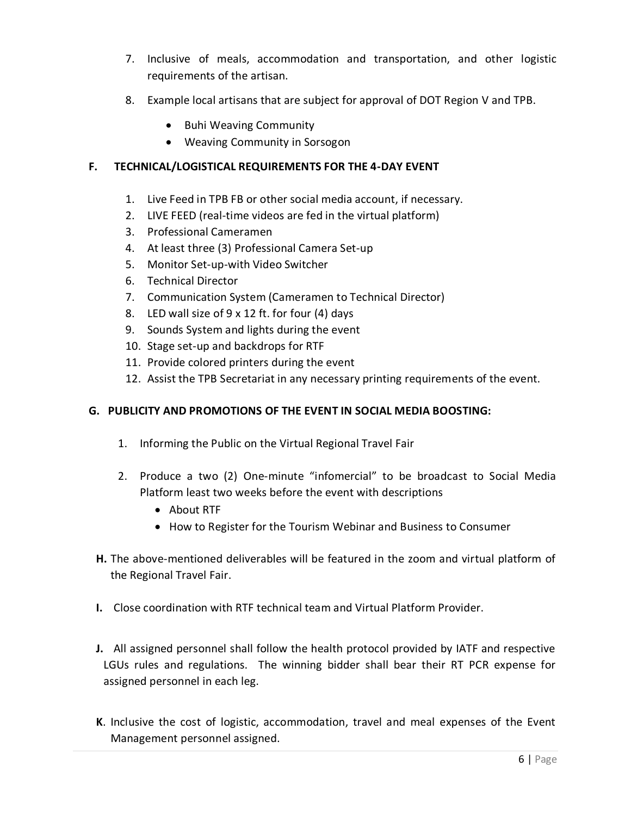- 7. Inclusive of meals, accommodation and transportation, and other logistic requirements of the artisan.
- 8. Example local artisans that are subject for approval of DOT Region V and TPB.
	- Buhi Weaving Community
	- Weaving Community in Sorsogon

## **F. TECHNICAL/LOGISTICAL REQUIREMENTS FOR THE 4-DAY EVENT**

- 1. Live Feed in TPB FB or other social media account, if necessary.
- 2. LIVE FEED (real-time videos are fed in the virtual platform)
- 3. Professional Cameramen
- 4. At least three (3) Professional Camera Set-up
- 5. Monitor Set-up-with Video Switcher
- 6. Technical Director
- 7. Communication System (Cameramen to Technical Director)
- 8. LED wall size of 9 x 12 ft. for four (4) days
- 9. Sounds System and lights during the event
- 10. Stage set-up and backdrops for RTF
- 11. Provide colored printers during the event
- 12. Assist the TPB Secretariat in any necessary printing requirements of the event.

#### **G. PUBLICITY AND PROMOTIONS OF THE EVENT IN SOCIAL MEDIA BOOSTING:**

- 1. Informing the Public on the Virtual Regional Travel Fair
- 2. Produce a two (2) One-minute "infomercial" to be broadcast to Social Media Platform least two weeks before the event with descriptions
	- About RTF
	- How to Register for the Tourism Webinar and Business to Consumer
- **H.** The above-mentioned deliverables will be featured in the zoom and virtual platform of the Regional Travel Fair.
- **I.** Close coordination with RTF technical team and Virtual Platform Provider.
- **J.** All assigned personnel shall follow the health protocol provided by IATF and respective LGUs rules and regulations. The winning bidder shall bear their RT PCR expense for assigned personnel in each leg.
- **K**. Inclusive the cost of logistic, accommodation, travel and meal expenses of the Event Management personnel assigned.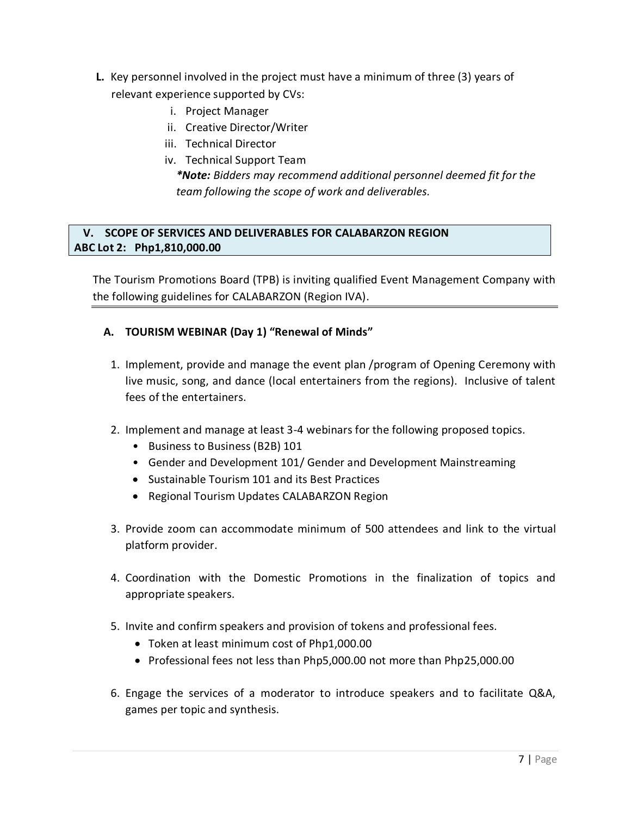- **L.** Key personnel involved in the project must have a minimum of three (3) years of relevant experience supported by CVs:
	- i. Project Manager
	- ii. Creative Director/Writer
	- iii. Technical Director
	- iv. Technical Support Team *\*Note: Bidders may recommend additional personnel deemed fit for the team following the scope of work and deliverables.*

## **V. SCOPE OF SERVICES AND DELIVERABLES FOR CALABARZON REGION ABC Lot 2: Php1,810,000.00**

The Tourism Promotions Board (TPB) is inviting qualified Event Management Company with the following guidelines for CALABARZON (Region IVA).

## **A. TOURISM WEBINAR (Day 1) "Renewal of Minds"**

- 1. Implement, provide and manage the event plan /program of Opening Ceremony with live music, song, and dance (local entertainers from the regions). Inclusive of talent fees of the entertainers.
- 2. Implement and manage at least 3-4 webinars for the following proposed topics.
	- Business to Business (B2B) 101
	- Gender and Development 101/ Gender and Development Mainstreaming
	- Sustainable Tourism 101 and its Best Practices
	- Regional Tourism Updates CALABARZON Region
- 3. Provide zoom can accommodate minimum of 500 attendees and link to the virtual platform provider.
- 4. Coordination with the Domestic Promotions in the finalization of topics and appropriate speakers.
- 5. Invite and confirm speakers and provision of tokens and professional fees.
	- Token at least minimum cost of Php1,000.00
	- Professional fees not less than Php5,000.00 not more than Php25,000.00
- 6. Engage the services of a moderator to introduce speakers and to facilitate Q&A, games per topic and synthesis.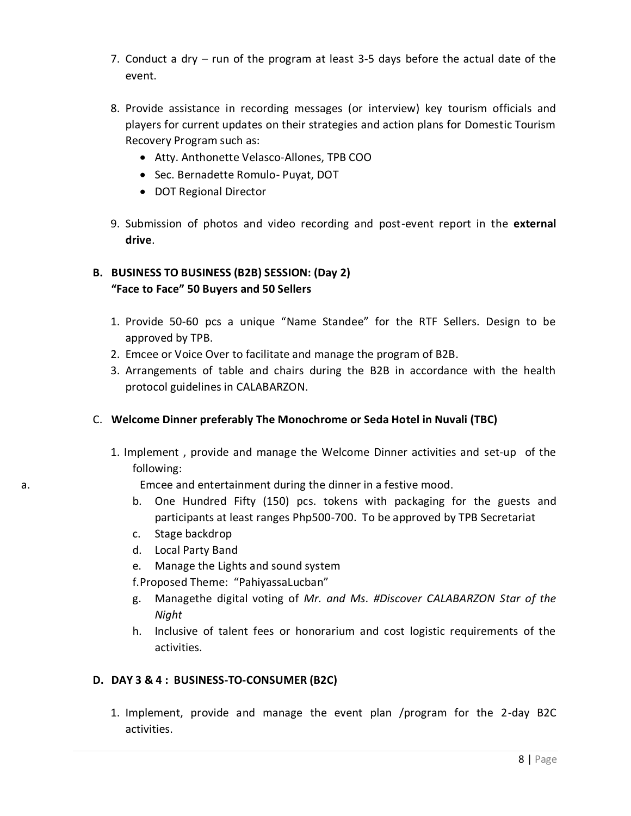- 7. Conduct a dry run of the program at least 3-5 days before the actual date of the event.
- 8. Provide assistance in recording messages (or interview) key tourism officials and players for current updates on their strategies and action plans for Domestic Tourism Recovery Program such as:
	- Atty. Anthonette Velasco-Allones, TPB COO
	- Sec. Bernadette Romulo- Puyat, DOT
	- DOT Regional Director
- 9. Submission of photos and video recording and post-event report in the **external drive**.

# **B. BUSINESS TO BUSINESS (B2B) SESSION: (Day 2) "Face to Face" 50 Buyers and 50 Sellers**

- 1. Provide 50-60 pcs a unique "Name Standee" for the RTF Sellers. Design to be approved by TPB.
- 2. Emcee or Voice Over to facilitate and manage the program of B2B.
- 3. Arrangements of table and chairs during the B2B in accordance with the health protocol guidelines in CALABARZON.

## C. **Welcome Dinner preferably The Monochrome or Seda Hotel in Nuvali (TBC)**

1. Implement , provide and manage the Welcome Dinner activities and set-up of the following:

a. Emcee and entertainment during the dinner in a festive mood.

- b. One Hundred Fifty (150) pcs. tokens with packaging for the guests and participants at least ranges Php500-700. To be approved by TPB Secretariat
- c. Stage backdrop
- d. Local Party Band
- e. Manage the Lights and sound system

f.Proposed Theme: "PahiyassaLucban"

- g. Managethe digital voting of *Mr. and Ms. #Discover CALABARZON Star of the Night*
- h. Inclusive of talent fees or honorarium and cost logistic requirements of the activities.

## **D. DAY 3 & 4 : BUSINESS-TO-CONSUMER (B2C)**

1. Implement, provide and manage the event plan /program for the 2-day B2C activities.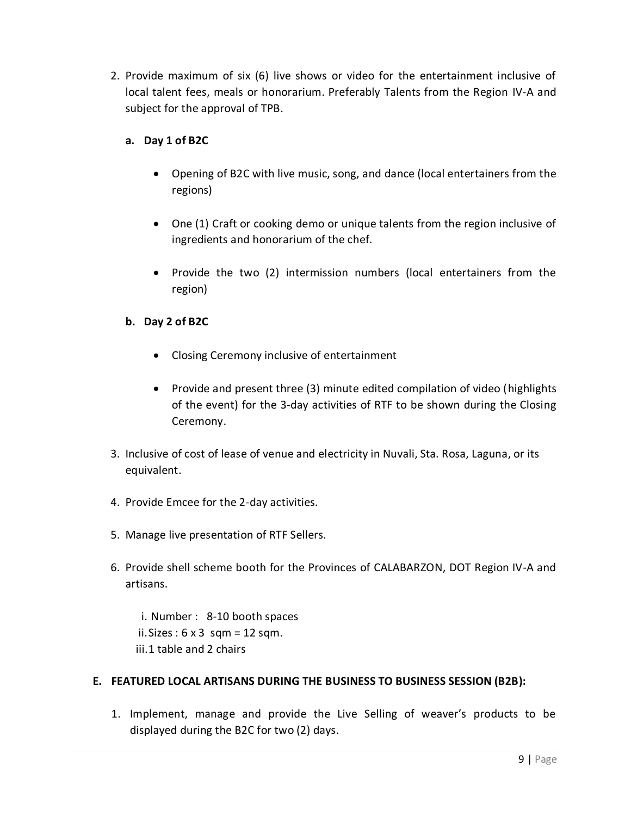2. Provide maximum of six (6) live shows or video for the entertainment inclusive of local talent fees, meals or honorarium. Preferably Talents from the Region IV-A and subject for the approval of TPB.

## **a. Day 1 of B2C**

- Opening of B2C with live music, song, and dance (local entertainers from the regions)
- One (1) Craft or cooking demo or unique talents from the region inclusive of ingredients and honorarium of the chef.
- Provide the two (2) intermission numbers (local entertainers from the region)

## **b. Day 2 of B2C**

- Closing Ceremony inclusive of entertainment
- Provide and present three (3) minute edited compilation of video (highlights of the event) for the 3-day activities of RTF to be shown during the Closing Ceremony.
- 3. Inclusive of cost of lease of venue and electricity in Nuvali, Sta. Rosa, Laguna, or its equivalent.
- 4. Provide Emcee for the 2-day activities.
- 5. Manage live presentation of RTF Sellers.
- 6. Provide shell scheme booth for the Provinces of CALABARZON, DOT Region IV-A and artisans.
	- i. Number : 8-10 booth spaces ii. Sizes :  $6 \times 3$  sqm = 12 sqm. iii.1 table and 2 chairs

## **E. FEATURED LOCAL ARTISANS DURING THE BUSINESS TO BUSINESS SESSION (B2B):**

1. Implement, manage and provide the Live Selling of weaver's products to be displayed during the B2C for two (2) days.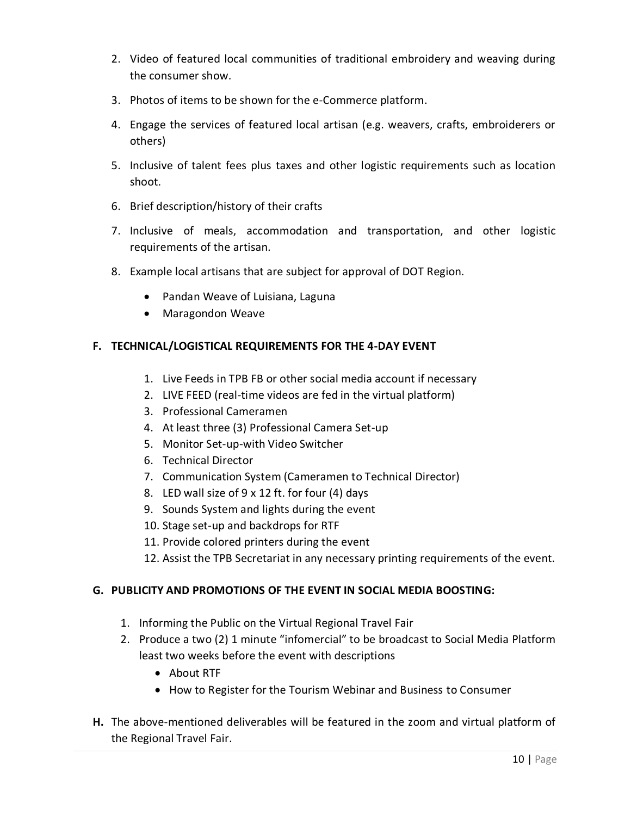- 2. Video of featured local communities of traditional embroidery and weaving during the consumer show.
- 3. Photos of items to be shown for the e-Commerce platform.
- 4. Engage the services of featured local artisan (e.g. weavers, crafts, embroiderers or others)
- 5. Inclusive of talent fees plus taxes and other logistic requirements such as location shoot.
- 6. Brief description/history of their crafts
- 7. Inclusive of meals, accommodation and transportation, and other logistic requirements of the artisan.
- 8. Example local artisans that are subject for approval of DOT Region.
	- Pandan Weave of Luisiana, Laguna
	- Maragondon Weave

## **F. TECHNICAL/LOGISTICAL REQUIREMENTS FOR THE 4-DAY EVENT**

- 1. Live Feeds in TPB FB or other social media account if necessary
- 2. LIVE FEED (real-time videos are fed in the virtual platform)
- 3. Professional Cameramen
- 4. At least three (3) Professional Camera Set-up
- 5. Monitor Set-up-with Video Switcher
- 6. Technical Director
- 7. Communication System (Cameramen to Technical Director)
- 8. LED wall size of 9 x 12 ft. for four (4) days
- 9. Sounds System and lights during the event
- 10. Stage set-up and backdrops for RTF
- 11. Provide colored printers during the event
- 12. Assist the TPB Secretariat in any necessary printing requirements of the event.

## **G. PUBLICITY AND PROMOTIONS OF THE EVENT IN SOCIAL MEDIA BOOSTING:**

- 1. Informing the Public on the Virtual Regional Travel Fair
- 2. Produce a two (2) 1 minute "infomercial" to be broadcast to Social Media Platform least two weeks before the event with descriptions
	- About RTF
	- How to Register for the Tourism Webinar and Business to Consumer
- **H.** The above-mentioned deliverables will be featured in the zoom and virtual platform of the Regional Travel Fair.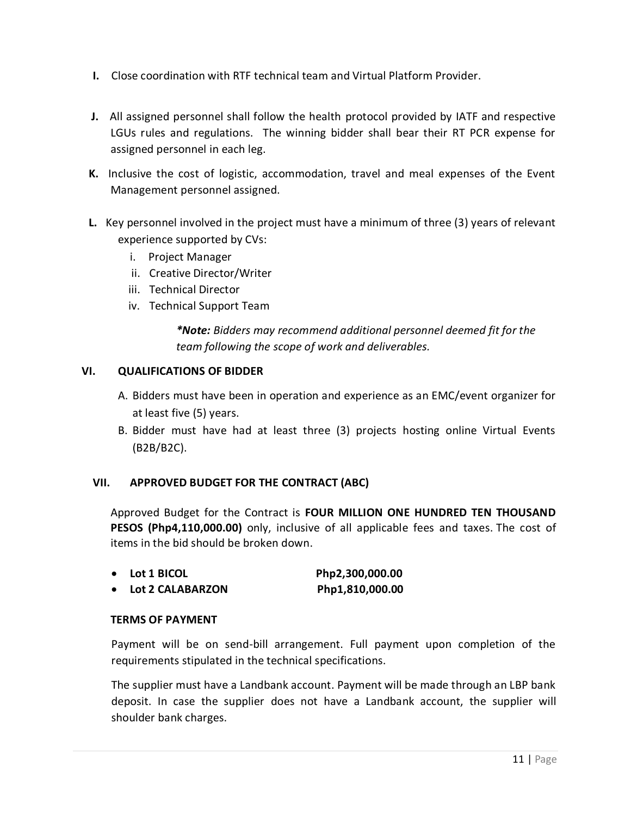- **I.** Close coordination with RTF technical team and Virtual Platform Provider.
- **J.** All assigned personnel shall follow the health protocol provided by IATF and respective LGUs rules and regulations. The winning bidder shall bear their RT PCR expense for assigned personnel in each leg.
- **K.** Inclusive the cost of logistic, accommodation, travel and meal expenses of the Event Management personnel assigned.
- **L.** Key personnel involved in the project must have a minimum of three (3) years of relevant experience supported by CVs:
	- i. Project Manager
	- ii. Creative Director/Writer
	- iii. Technical Director
	- iv. Technical Support Team

*\*Note: Bidders may recommend additional personnel deemed fit for the team following the scope of work and deliverables.*

#### **VI. QUALIFICATIONS OF BIDDER**

- A. Bidders must have been in operation and experience as an EMC/event organizer for at least five (5) years.
- B. Bidder must have had at least three (3) projects hosting online Virtual Events (B2B/B2C).

#### **VII. APPROVED BUDGET FOR THE CONTRACT (ABC)**

Approved Budget for the Contract is **FOUR MILLION ONE HUNDRED TEN THOUSAND PESOS (Php4,110,000.00)** only, inclusive of all applicable fees and taxes. The cost of items in the bid should be broken down.

- **Lot 1 BICOL Php2,300,000.00**
- **Lot 2 CALABARZON Php1,810,000.00**

#### **TERMS OF PAYMENT**

Payment will be on send-bill arrangement. Full payment upon completion of the requirements stipulated in the technical specifications.

The supplier must have a Landbank account. Payment will be made through an LBP bank deposit. In case the supplier does not have a Landbank account, the supplier will shoulder bank charges.